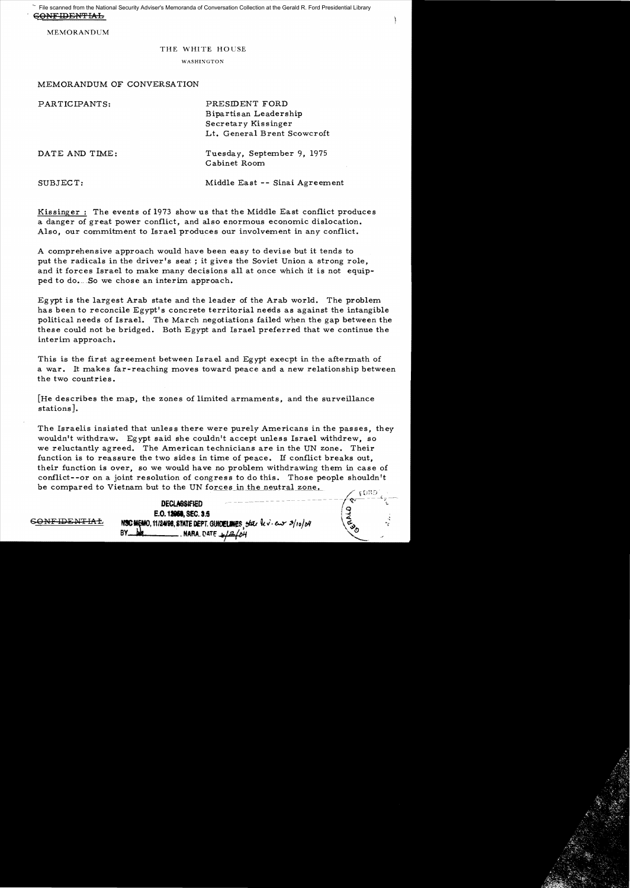GONFIDENTIAL File scanned from the National Security Adviser's Memoranda of Conversation Collection at the Gerald R. Ford Presidential Library

MEMORANDUM

### THE WHITE HOUSE

#### WASHIXGTON

## MEMORANDUM OF CONVERSATION

| PARTICIPANTS:  | PRESIDENT FORD<br>Bipartisan Leadership<br>Secretary Kissinger<br>Lt. General Brent Scowcroft |
|----------------|-----------------------------------------------------------------------------------------------|
| DATE AND TIME: | Tuesday, September 9, 1975<br>Cabinet Room                                                    |
| SUBJECT:       | Middle East -- Sinai Agreement                                                                |

Kissinger: The events of 1973 show us that the Middle East conflict produces a danger of great power conflict, and also enormous economic dislocation. Also, our commitment to Israel produces our involvement in any conflict.

A comprehensive approach would have been easy to devise but it tends to put the radicals in the driver's seat; it gives the Soviet Union a strong role, and it forces Israel to make many decisions all at once which it is not equip ped to do. So we chose an interim approach.

Eg *ypt* is the largest Arab state and the leader of the Arab world. The problem has been to reconcile Egypt's concrete territorial needs as against the intangible political needs of Israel. The March negotiations failed when the gap between the these could not be bridged. Both Egypt and Israel preferred that we continue the interim approach.

This is the first agreement between Israel and Egypt execpt in the aftermath of a war. It makes far-reaching moves toward peace and a new relationship between the two countries.

[He describes the map, the zones of limited armaments, and the surveillance stations].

The Israelis insisted that unless there were purely Americans in the passes, they wouldn't withdraw. *Egypt* said she couldn't accept unless Israel withdrew, so we reluctantly agreed. The American technicians are in the UN zone. Their function is to reassure the two sides in time of peace. If conflict breaks out, their function is over, so we would have no problem withdrawing them in case of conflict--or on a joint resolution of congress to do this. Those people shouldn't be compared to Vietnam but to the UN forces in the neutral zone.

E.O. **1\_**SEC. 8.5 &9l?'lFIDENTIAi!. NIC'!O. 11/2498, SfATE DEPT. GlJK&II!S <sup>~</sup>ekU *Gt.i·* e...y *:J/roj""*  BY .L ,MARA. (lATF. ""'~I""/

**DECLASSIFIED**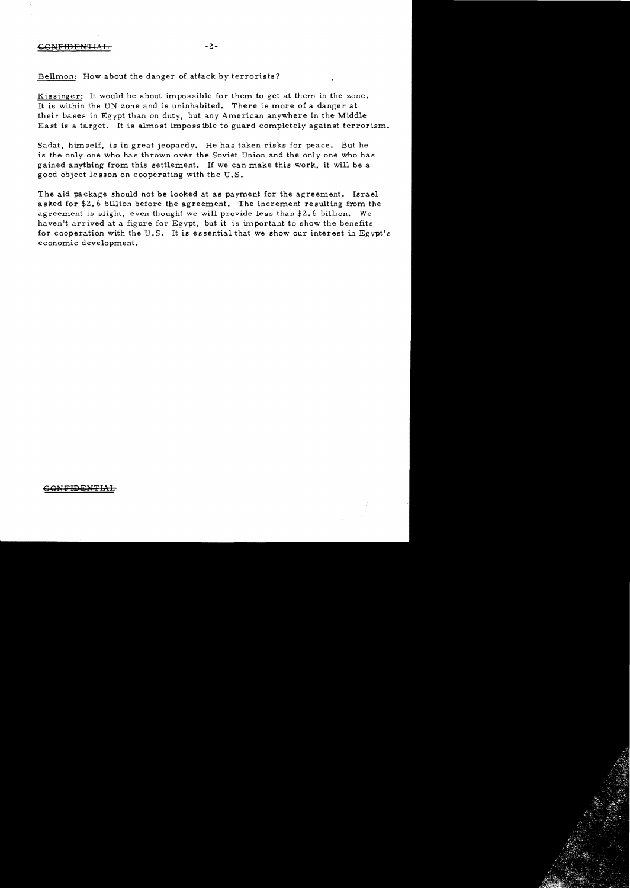# -cGNFIDENTIAL -2

## Bellmon: How about the danger of attack *by* terrorists?

Kissinger: It would be about impossible for them to get at them in the zone. It is within the UN zone and is uninhabited. There is more of a danger at their bases in Egypt than on duty, but any American anywhere in the Middle East is a target. It is almost imposs ible to guard completely against terrorism.

Sadat, himself, is in great jeopardy. He has taken risks for peace. But he is the only one who has thrown over the Soviet Union and the only one who has gained anything from this settlement. If we can make this work, it will be a good object Ie sson on cooperating with the U. S.

The aid package should not be looked at as payment for the agreement. Israel asked for \$2.6 billion before the agreement. The increment resulting from the agreement is slight, even thought we will provide less than \$2.6 billion. We haven <sup>1</sup> t arrived at a figure for Egypt, but it is important to show the benefits for cooperation with the U.S. It is essential that we show our interest in Egypt's economic development.

# 6QNFIDEN'TIA.L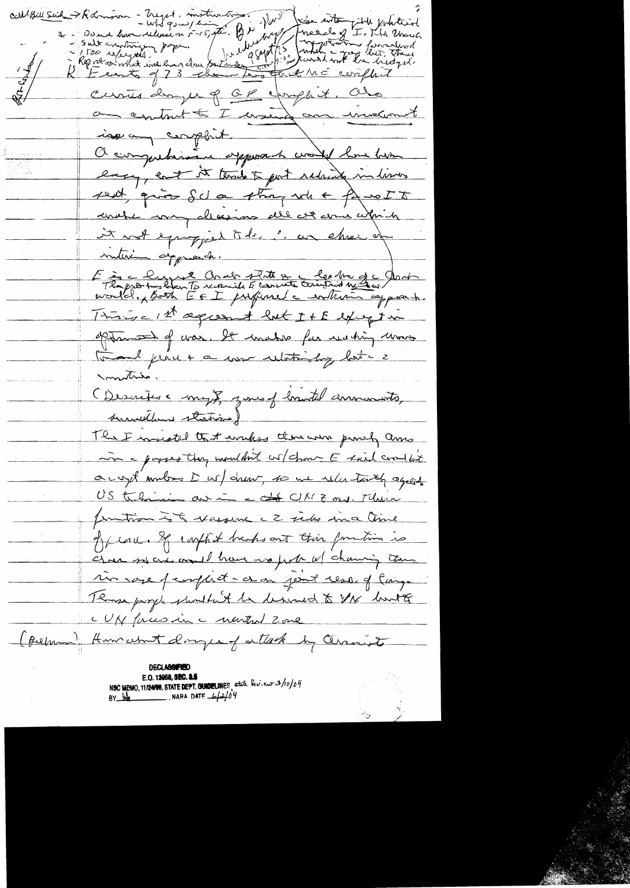calibre suit de la comme - moyet, motion tres ? Vous les automnents et les principales Curries dayer of CP exappet. Cho an contrat to I want an inversiont issuing complait Or computarion opposed world has been engage ent it terrib to port reduced in lives peut qui Scla stragente paus 55 unate my allesions all cet come within it wet equipped to be in car chees of interim apprechi E à centre Crab Titte de les tre de Contre This is a present but It E except in often the of was. It washes for wating wow. tout perce a come celetimiting last - 2 montrie. (Descrites a may), yours of handel announcements, survilland stations) The F mistal that empts there are prouch ame in a paper they mouldn't us chosen E sued crowled accept unber D ws/ drew, to we release to agent US teleminin au in a dé UK Z ors. Main protion it masser c 2 sides since time offlace. If captit braks out this function is Ana solaie mail have in forth w/ channing them monage perophot a on joint resort lange Those poppe shouldn't be behoved to the bootte CUN forces in a newton 2 one (perman) Humchat doge of attack by Ceranists E.O. 12058, SEC. 3.5 NSC MEMO, 11/24/98, STATE DEPT. CHADELINES state lev. eur 3/10/04 BY  $\frac{b\phi}{c}$ . NARA DATE  $\frac{c}{c^2}$